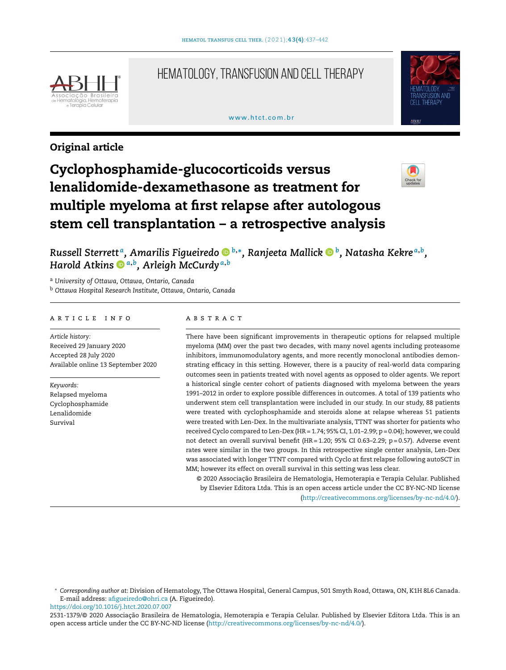

## HEMATOLOGY, TRANSFUSION AND CELL THERAPY

#### www.htct.com.hr



### Original article

# Cyclophosphamide-glucocorticoids versus lenalidomide-dexamethasone as treatment for multiple myeloma at first relapse after autologous stem cell transplantation – a retrospective analysis



*Russell Sterrett <sup>a</sup> , Amarilis Figueiredo <sup>b</sup>*,<sup>∗</sup> *, Ranjeeta Mallic[k](https://orcid.org/0000-0002-0227-5687) <sup>b</sup> , Natasha Kekre <sup>a</sup>*,*<sup>b</sup> , Harold Atkin[s](https://orcid.org/0000-0002-6168-3939) <sup>a</sup>*,*<sup>b</sup> , Arleigh McCurdy <sup>a</sup>*,*<sup>b</sup>*

<sup>a</sup> *University of Ottawa, Ottawa, Ontario, Canada* <sup>b</sup> *Ottawa Hospital Research Institute, Ottawa, Ontario, Canada*

#### a r t i c l e i n f o

*Article history:* Received 29 January 2020 Accepted 28 July 2020 Available online 13 September 2020

*Keywords:* Relapsed myeloma Cyclophosphamide Lenalidomide Survival

#### A B S T R A C T

There have been significant improvements in therapeutic options for relapsed multiple myeloma (MM) over the past two decades, with many novel agents including proteasome inhibitors, immunomodulatory agents, and more recently monoclonal antibodies demonstrating efficacy in this setting. However, there is a paucity of real-world data comparing outcomes seen in patients treated with novel agents as opposed to older agents. We report a historical single center cohort of patients diagnosed with myeloma between the years 1991–2012 in order to explore possible differences in outcomes. A total of 139 patients who underwent stem cell transplantation were included in our study. In our study, 88 patients were treated with cyclophosphamide and steroids alone at relapse whereas 51 patients were treated with Len-Dex. In the multivariate analysis, TTNT was shorter for patients who received Cyclo compared to Len-Dex (HR = 1.74; 95% CI, 1.01–2.99; p = 0.04); however, we could not detect an overall survival benefit (HR = 1.20; 95% CI 0.63–2.29; p = 0.57). Adverse event rates were similar in the two groups. In this retrospective single center analysis, Len-Dex was associated with longer TTNT compared with Cyclo at first relapse following autoSCT in MM; however its effect on overall survival in this setting was less clear.

© 2020 Associação Brasileira de Hematologia, Hemoterapia e Terapia Celular. Published by Elsevier Editora Ltda. This is an open access article under the CC BY-NC-ND license ([http://creativecommons.org/licenses/by-nc-nd/4.0/\)](http://creativecommons.org/licenses/by-nc-nd/4.0/).

<https://doi.org/10.1016/j.htct.2020.07.007>

2531-1379/© 2020 Associação Brasileira de Hematologia, Hemoterapia e Terapia Celular. Published by Elsevier Editora Ltda. This is an open access article under the CC BY-NC-ND license ([http://creativecommons.org/licenses/by-nc-nd/4.0/\)](http://creativecommons.org/licenses/by-nc-nd/4.0/).

<sup>∗</sup> *Corresponding author at*: Division of Hematology, The Ottawa Hospital, General Campus, 501 Smyth Road, Ottawa, ON, K1H 8L6 Canada. E-mail address: [afigueiredo@ohri.ca](mailto:afigueiredo@ohri.ca) (A. Figueiredo).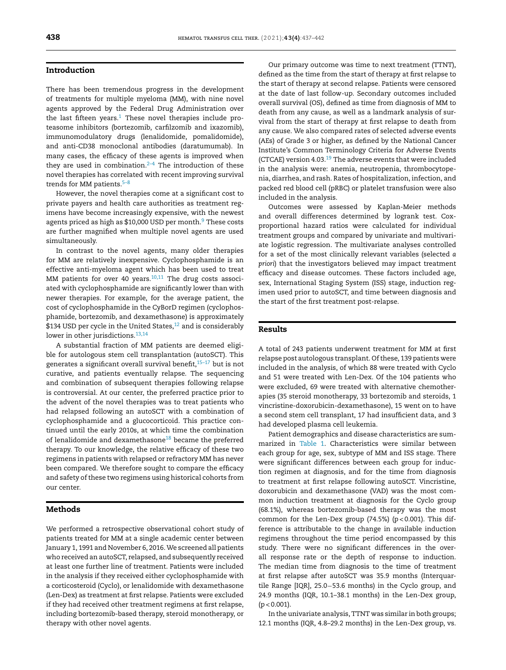#### Introduction

There has been tremendous progress in the development of treatments for multiple myeloma (MM), with nine novel agents approved by the Federal Drug Administration over the last fifteen years. $1$  These novel therapies include proteasome inhibitors (bortezomib, carfilzomib and ixazomib), immunomodulatory drugs (lenalidomide, pomalidomide), and anti-CD38 monoclonal antibodies (daratumumab). In many cases, the efficacy of these agents is improved when they are used in combination. $2-4$  The introduction of these novel therapies has correlated with recent improving survival trends for MM patients.<sup>5-8</sup>

However, the novel therapies come at a significant cost to private payers and health care authorities as treatment regimens have become increasingly expensive, with the newest agents priced as high as \$10,000 USD per month.<sup>[9](#page-5-0)</sup> These costs are further magnified when multiple novel agents are used simultaneously.

In contrast to the novel agents, many older therapies for MM are relatively inexpensive. Cyclophosphamide is an effective anti-myeloma agent which has been used to treat MM patients for over 40 years. $10,11$  The drug costs associated with cyclophosphamide are significantly lower than with newer therapies. For example, for the average patient, the cost of cyclophosphamide in the CyBorD regimen (cyclophosphamide, bortezomib, and dexamethasone) is approximately \$134 USD per cycle in the United States, $^{12}$  $^{12}$  $^{12}$  and is considerably lower in other jurisdictions.<sup>[13,14](#page-5-0)</sup>

A substantial fraction of MM patients are deemed eligible for autologous stem cell transplantation (autoSCT). This generates a significant overall survival benefit, $15-17$  but is not curative, and patients eventually relapse. The sequencing and combination of subsequent therapies following relapse is controversial. At our center, the preferred practice prior to the advent of the novel therapies was to treat patients who had relapsed following an autoSCT with a combination of cyclophosphamide and a glucocorticoid. This practice continued until the early 2010s, at which time the combination of lenalidomide and dexamethasone $^{18}$  $^{18}$  $^{18}$  became the preferred therapy. To our knowledge, the relative efficacy of these two regimens in patients with relapsed or refractory MM has never been compared. We therefore sought to compare the efficacy and safety of these two regimens using historical cohorts from our center.

#### Methods

We performed a retrospective observational cohort study of patients treated for MM at a single academic center between January 1, 1991 and November 6, 2016.We screened all patients who received an autoSCT, relapsed, and subsequently received at least one further line of treatment. Patients were included in the analysis if they received either cyclophosphamide with a corticosteroid (Cyclo), or lenalidomide with dexamethasone (Len-Dex) as treatment at first relapse. Patients were excluded if they had received other treatment regimens at first relapse, including bortezomib-based therapy, steroid monotherapy, or therapy with other novel agents.

Our primary outcome was time to next treatment (TTNT), defined as the time from the start of therapy at first relapse to the start of therapy at second relapse. Patients were censored at the date of last follow-up. Secondary outcomes included overall survival (OS), defined as time from diagnosis of MM to death from any cause, as well as a landmark analysis of survival from the start of therapy at first relapse to death from any cause. We also compared rates of selected adverse events (AEs) of Grade 3 or higher, as defined by the National Cancer Institute's Common Terminology Criteria for Adverse Events (CTCAE) version 4.03.[19](#page-5-0) The adverse events that were included in the analysis were: anemia, neutropenia, thrombocytopenia, diarrhea, and rash. Rates of hospitalization, infection, and packed red blood cell (pRBC) or platelet transfusion were also included in the analysis.

Outcomes were assessed by Kaplan-Meier methods and overall differences determined by logrank test. Coxproportional hazard ratios were calculated for individual treatment groups and compared by univariate and multivariate logistic regression. The multivariate analyses controlled for a set of the most clinically relevant variables (selected *a priori*) that the investigators believed may impact treatment efficacy and disease outcomes. These factors included age, sex, International Staging System (ISS) stage, induction regimen used prior to autoSCT, and time between diagnosis and the start of the first treatment post-relapse.

#### Results

A total of 243 patients underwent treatment for MM at first relapse post autologous transplant. Of these, 139 patients were included in the analysis, of which 88 were treated with Cyclo and 51 were treated with Len-Dex. Of the 104 patients who were excluded, 69 were treated with alternative chemotherapies (35 steroid monotherapy, 33 bortezomib and steroids, 1 vincristine-doxorubicin-dexamethasone), 15 went on to have a second stem cell transplant, 17 had insufficient data, and 3 had developed plasma cell leukemia.

Patient demographics and disease characteristics are summarized in [Table](#page-2-0) 1. Characteristics were similar between each group for age, sex, subtype of MM and ISS stage. There were significant differences between each group for induction regimen at diagnosis, and for the time from diagnosis to treatment at first relapse following autoSCT. Vincristine, doxorubicin and dexamethasone (VAD) was the most common induction treatment at diagnosis for the Cyclo group (68.1%), whereas bortezomib-based therapy was the most common for the Len-Dex group (74.5%) (p < 0.001). This difference is attributable to the change in available induction regimens throughout the time period encompassed by this study. There were no significant differences in the overall response rate or the depth of response to induction. The median time from diagnosis to the time of treatment at first relapse after autoSCT was 35.9 months (Interquartile Range [IQR], 25.0−53.6 months) in the Cyclo group, and 24.9 months (IQR, 10.1–38.1 months) in the Len-Dex group,  $(p < 0.001)$ .

In the univariate analysis, TTNT was similar in both groups; 12.1 months (IQR, 4.8–29.2 months) in the Len-Dex group, vs.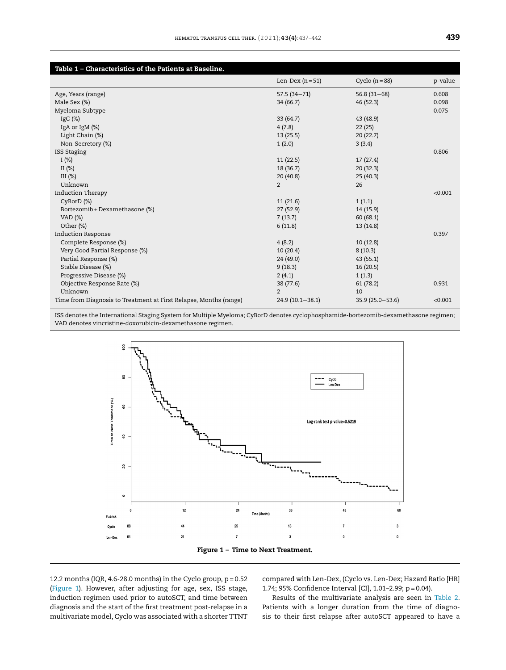<span id="page-2-0"></span>

| Table 1 - Characteristics of the Patients at Baseline.            |                     |                     |         |  |  |  |  |
|-------------------------------------------------------------------|---------------------|---------------------|---------|--|--|--|--|
|                                                                   | Len-Dex $(n=51)$    | Cyclo $(n=88)$      | p-value |  |  |  |  |
| Age, Years (range)                                                | $57.5(34 - 71)$     | $56.8(31-68)$       | 0.608   |  |  |  |  |
| Male Sex (%)                                                      | 34 (66.7)           | 46 (52.3)           | 0.098   |  |  |  |  |
| Myeloma Subtype                                                   |                     |                     | 0.075   |  |  |  |  |
| IgG $(\%)$                                                        | 33(64.7)            | 43 (48.9)           |         |  |  |  |  |
| IgA or IgM $(\%)$                                                 | 4(7.8)              | 22(25)              |         |  |  |  |  |
| Light Chain (%)                                                   | 13(25.5)            | 20(22.7)            |         |  |  |  |  |
| Non-Secretory (%)                                                 | 1(2.0)              | 3(3.4)              |         |  |  |  |  |
| ISS Staging                                                       |                     |                     | 0.806   |  |  |  |  |
| $I(\%)$                                                           | 11(22.5)            | 17(27.4)            |         |  |  |  |  |
| II $(\%)$                                                         | 18(36.7)            | 20(32.3)            |         |  |  |  |  |
| III $(\%)$                                                        | 20(40.8)            | 25(40.3)            |         |  |  |  |  |
| Unknown                                                           | $\overline{2}$      | 26                  |         |  |  |  |  |
| Induction Therapy                                                 |                     |                     | < 0.001 |  |  |  |  |
| CyBorD (%)                                                        | 11(21.6)            | 1(1.1)              |         |  |  |  |  |
| Bortezomib + Dexamethasone (%)                                    | 27(52.9)            | 14 (15.9)           |         |  |  |  |  |
| VAD $(%)$                                                         | 7(13.7)             | 60(68.1)            |         |  |  |  |  |
| Other (%)                                                         | 6(11.8)             | 13(14.8)            |         |  |  |  |  |
| <b>Induction Response</b>                                         |                     |                     | 0.397   |  |  |  |  |
| Complete Response (%)                                             | 4(8.2)              | 10(12.8)            |         |  |  |  |  |
| Very Good Partial Response (%)                                    | 10(20.4)            | 8(10.3)             |         |  |  |  |  |
| Partial Response (%)                                              | 24 (49.0)           | 43(55.1)            |         |  |  |  |  |
| Stable Disease (%)                                                | 9(18.3)             | 16(20.5)            |         |  |  |  |  |
| Progressive Disease (%)                                           | 2(4.1)              | 1(1.3)              |         |  |  |  |  |
| Objective Response Rate (%)                                       | 38 (77.6)           | 61(78.2)            | 0.931   |  |  |  |  |
| Unknown                                                           | $\overline{2}$      | 10                  |         |  |  |  |  |
| Time from Diagnosis to Treatment at First Relapse, Months (range) | $24.9(10.1 - 38.1)$ | $35.9(25.0 - 53.6)$ | < 0.001 |  |  |  |  |

ISS denotes the International Staging System for Multiple Myeloma; CyBorD denotes cyclophosphamide-bortezomib-dexamethasone regimen; VAD denotes vincristine-doxorubicin-dexamethasone regimen.



Figure 1 – Time to Next Treatment.

12.2 months (IQR, 4.6-28.0 months) in the Cyclo group, p = 0.52 (Figure 1). However, after adjusting for age, sex, ISS stage, induction regimen used prior to autoSCT, and time between diagnosis and the start of the first treatment post-relapse in a multivariate model, Cyclo was associated with a shorter TTNT compared with Len-Dex, (Cyclo vs. Len-Dex; Hazard Ratio [HR] 1.74; 95% Confidence Interval [CI], 1.01–2.99; p = 0.04).

Results of the multivariate analysis are seen in [Table](#page-3-0) 2. Patients with a longer duration from the time of diagnosis to their first relapse after autoSCT appeared to have a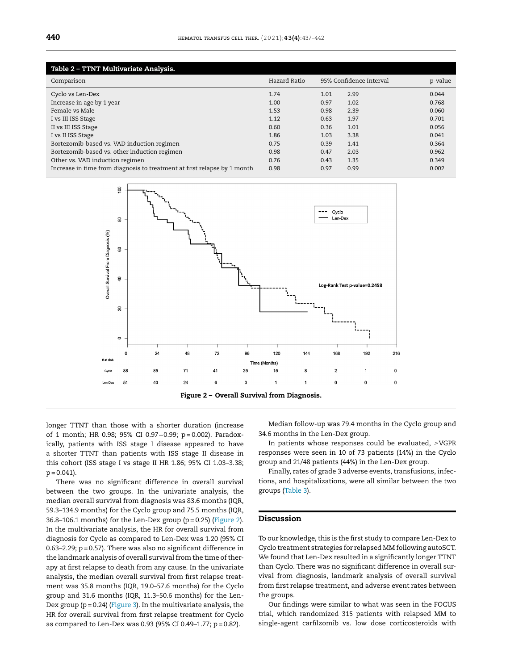<span id="page-3-0"></span>

| Table 2 - TTNT Multivariate Analysis.                                    |              |                         |      |         |  |  |  |
|--------------------------------------------------------------------------|--------------|-------------------------|------|---------|--|--|--|
| Comparison                                                               | Hazard Ratio | 95% Confidence Interval |      | p-value |  |  |  |
| Cyclo vs Len-Dex                                                         | 1.74         | 1.01                    | 2.99 | 0.044   |  |  |  |
| Increase in age by 1 year                                                | 1.00         | 0.97                    | 1.02 | 0.768   |  |  |  |
| Female vs Male                                                           | 1.53         | 0.98                    | 2.39 | 0.060   |  |  |  |
| I vs III ISS Stage                                                       | 1.12         | 0.63                    | 1.97 | 0.701   |  |  |  |
| II vs III ISS Stage                                                      | 0.60         | 0.36                    | 1.01 | 0.056   |  |  |  |
| I vs II ISS Stage                                                        | 1.86         | 1.03                    | 3.38 | 0.041   |  |  |  |
| Bortezomib-based vs. VAD induction regimen                               | 0.75         | 0.39                    | 1.41 | 0.364   |  |  |  |
| Bortezomib-based vs. other induction regimen                             | 0.98         | 0.47                    | 2.03 | 0.962   |  |  |  |
| Other vs. VAD induction regimen                                          | 0.76         | 0.43                    | 1.35 | 0.349   |  |  |  |
| Increase in time from diagnosis to treatment at first relapse by 1 month | 0.98         | 0.97                    | 0.99 | 0.002   |  |  |  |



longer TTNT than those with a shorter duration (increase of 1 month; HR 0.98; 95% CI 0.97−0.99; p = 0.002). Paradoxically, patients with ISS stage I disease appeared to have a shorter TTNT than patients with ISS stage II disease in this cohort (ISS stage I vs stage II HR 1.86; 95% CI 1.03–3.38;  $p = 0.041$ ).

There was no significant difference in overall survival between the two groups. In the univariate analysis, the median overall survival from diagnosis was 83.6 months (IQR, 59.3–134.9 months) for the Cyclo group and 75.5 months (IQR, 36.8–106.1 months) for the Len-Dex group ( $p = 0.25$ ) (Figure 2). In the multivariate analysis, the HR for overall survival from diagnosis for Cyclo as compared to Len-Dex was 1.20 (95% CI 0.63–2.29; p = 0.57). There was also no significant difference in the landmark analysis of overall survival from the time of therapy at first relapse to death from any cause. In the univariate analysis, the median overall survival from first relapse treatment was 35.8 months (IQR, 19.0–57.6 months) for the Cyclo group and 31.6 months (IQR, 11.3–50.6 months) for the Len-Dex group ( $p = 0.24$ ) [\(Figure](#page-4-0) 3). In the multivariate analysis, the HR for overall survival from first relapse treatment for Cyclo as compared to Len-Dex was 0.93 (95% CI 0.49–1.77; p = 0.82).

Median follow-up was 79.4 months in the Cyclo group and 34.6 months in the Len-Dex group.

In patients whose responses could be evaluated,  $\geq$ VGPR responses were seen in 10 of 73 patients (14%) in the Cyclo group and 21/48 patients (44%) in the Len-Dex group.

Finally, rates of grade 3 adverse events, transfusions, infections, and hospitalizations, were all similar between the two groups ([Table](#page-4-0) 3).

#### Discussion

To our knowledge, this is the first study to compare Len-Dex to Cyclo treatment strategies for relapsed MM following autoSCT. We found that Len-Dex resulted in a significantly longer TTNT than Cyclo. There was no significant difference in overall survival from diagnosis, landmark analysis of overall survival from first relapse treatment, and adverse event rates between the groups.

Our findings were similar to what was seen in the FOCUS trial, which randomized 315 patients with relapsed MM to single-agent carfilzomib vs. low dose corticosteroids with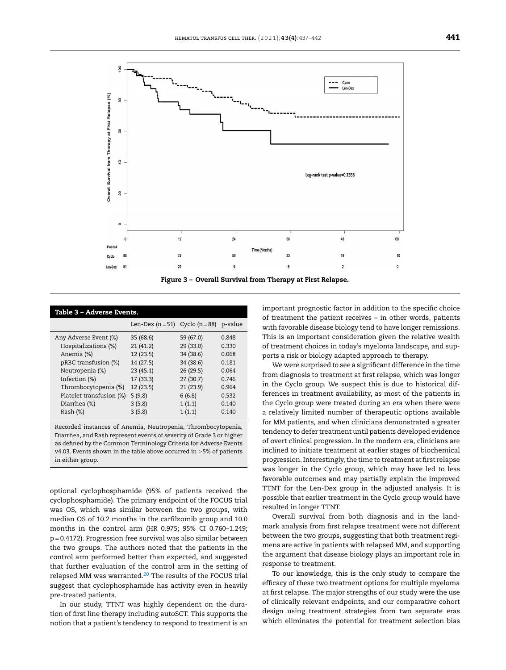<span id="page-4-0"></span>

| Table 3 - Adverse Events. |                                             |           |       |  |  |  |  |  |
|---------------------------|---------------------------------------------|-----------|-------|--|--|--|--|--|
|                           | Len-Dex $(n = 51)$ Cyclo $(n = 88)$ p-value |           |       |  |  |  |  |  |
| Any Adverse Event (%)     | 35(68.6)                                    | 59 (67.0) | 0.848 |  |  |  |  |  |
| Hospitalizations (%)      | 21(41.2)                                    | 29 (33.0) | 0.330 |  |  |  |  |  |
| Anemia (%)                | 12 (23.5)                                   | 34 (38.6) | 0.068 |  |  |  |  |  |
| pRBC transfusion (%)      | 14 (27.5)                                   | 34 (38.6) | 0.181 |  |  |  |  |  |
| Neutropenia (%)           | 23 (45.1)                                   | 26(29.5)  | 0.064 |  |  |  |  |  |
| Infection (%)             | 17 (33.3)                                   | 27(30.7)  | 0.746 |  |  |  |  |  |
| Thrombocytopenia (%)      | 12(23.5)                                    | 21 (23.9) | 0.964 |  |  |  |  |  |
| Platelet transfusion (%)  | 5(9.8)                                      | 6(6.8)    | 0.532 |  |  |  |  |  |
| Diarrhea (%)              | 3(5.8)                                      | 1(1.1)    | 0.140 |  |  |  |  |  |
| Rash (%)                  | 3(5.8)                                      | 1(1.1)    | 0.140 |  |  |  |  |  |
|                           |                                             |           |       |  |  |  |  |  |

Recorded instances of Anemia, Neutropenia, Thrombocytopenia, Diarrhea, and Rash represent events of severity of Grade 3 or higher as defined by the Common Terminology Criteria for Adverse Events v4.03. Events shown in the table above occurred in ≥5% of patients in either group.

optional cyclophosphamide (95% of patients received the cyclophosphamide). The primary endpoint of the FOCUS trial was OS, which was similar between the two groups, with median OS of 10.2 months in the carfilzomib group and 10.0 months in the control arm (HR 0.975; 95% CI 0.760–1.249; p = 0.4172). Progression free survival was also similar between the two groups. The authors noted that the patients in the control arm performed better than expected, and suggested that further evaluation of the control arm in the setting of relapsed MM was warranted. $20$  The results of the FOCUS trial suggest that cyclophosphamide has activity even in heavily pre-treated patients.

In our study, TTNT was highly dependent on the duration of first line therapy including autoSCT. This supports the notion that a patient's tendency to respond to treatment is an important prognostic factor in addition to the specific choice of treatment the patient receives – in other words, patients with favorable disease biology tend to have longer remissions. This is an important consideration given the relative wealth of treatment choices in today's myeloma landscape, and supports a risk or biology adapted approach to therapy.

We were surprised to see a significant difference in the time from diagnosis to treatment at first relapse, which was longer in the Cyclo group. We suspect this is due to historical differences in treatment availability, as most of the patients in the Cyclo group were treated during an era when there were a relatively limited number of therapeutic options available for MM patients, and when clinicians demonstrated a greater tendency to defer treatment until patients developed evidence of overt clinical progression. In the modern era, clinicians are inclined to initiate treatment at earlier stages of biochemical progression. Interestingly, the time to treatment at first relapse was longer in the Cyclo group, which may have led to less favorable outcomes and may partially explain the improved TTNT for the Len-Dex group in the adjusted analysis. It is possible that earlier treatment in the Cyclo group would have resulted in longer TTNT.

Overall survival from both diagnosis and in the landmark analysis from first relapse treatment were not different between the two groups, suggesting that both treatment regimens are active in patients with relapsed MM, and supporting the argument that disease biology plays an important role in response to treatment.

To our knowledge, this is the only study to compare the efficacy of these two treatment options for multiple myeloma at first relapse. The major strengths of our study were the use of clinically relevant endpoints, and our comparative cohort design using treatment strategies from two separate eras which eliminates the potential for treatment selection bias